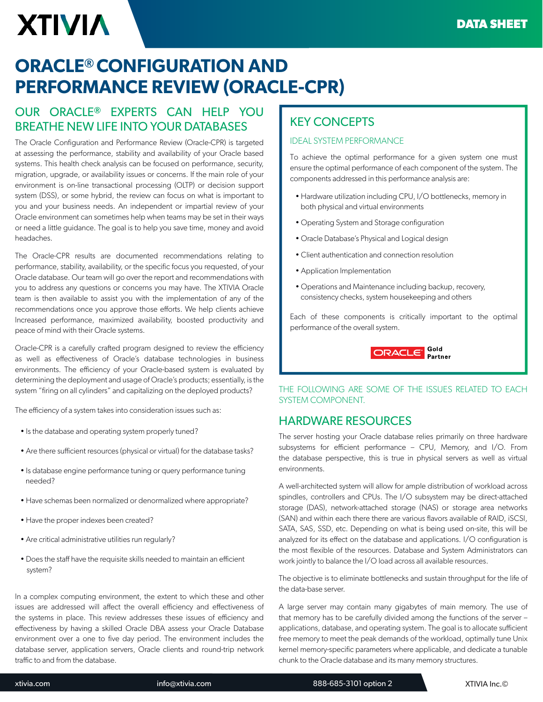# **XTIVIA**

## **ORACLE® CONFIGURATION AND PERFORMANCE REVIEW (ORACLE-CPR)**

## OUR ORACLE**®** EXPERTS CAN HELP YOU BREATHE NEW LIFE INTO YOUR DATABASES

The Oracle Configuration and Performance Review (Oracle-CPR) is targeted at assessing the performance, stability and availability of your Oracle based systems. This health check analysis can be focused on performance, security, migration, upgrade, or availability issues or concerns. If the main role of your environment is on-line transactional processing (OLTP) or decision support system (DSS), or some hybrid, the review can focus on what is important to you and your business needs. An independent or impartial review of your Oracle environment can sometimes help when teams may be set in their ways or need a little guidance. The goal is to help you save time, money and avoid headaches.

The Oracle-CPR results are documented recommendations relating to performance, stability, availability, or the specific focus you requested, of your Oracle database. Our team will go over the report and recommendations with you to address any questions or concerns you may have. The XTIVIA Oracle team is then available to assist you with the implementation of any of the recommendations once you approve those efforts. We help clients achieve Increased performance, maximized availability, boosted productivity and peace of mind with their Oracle systems.

Oracle-CPR is a carefully crafted program designed to review the efficiency as well as efectiveness of Oracle's database technologies in business environments. The efficiency of your Oracle-based system is evaluated by determining the deployment and usage of Oracle's products; essentially, is the system "firing on all cylinders" and capitalizing on the deployed products?

The efficiency of a system takes into consideration issues such as:

- Is the database and operating system properly tuned?
- Are there sufficient resources (physical or virtual) for the database tasks?
- Is database engine performance tuning or query performance tuning needed?
- Have schemas been normalized or denormalized where appropriate?
- Have the proper indexes been created?
- Are critical administrative utilities run regularly?
- Does the staff have the requisite skills needed to maintain an efficient system?

In a complex computing environment, the extent to which these and other issues are addressed will affect the overall efficiency and effectiveness of the systems in place. This review addresses these issues of efficiency and efectiveness by having a skilled Oracle DBA assess your Oracle Database environment over a one to five day period. The environment includes the database server, application servers, Oracle clients and round-trip network traffic to and from the database.

## KEY CONCEPTS

#### IDEAL SYSTEM PERFORMANCE

To achieve the optimal performance for a given system one must ensure the optimal performance of each component of the system. The components addressed in this performance analysis are:

- Hardware utilization including CPU, I/O bottlenecks, memory in both physical and virtual environments
- Operating System and Storage configuration
- Oracle Database's Physical and Logical design
- Client authentication and connection resolution
- Application Implementation
- Operations and Maintenance including backup, recovery, consistency checks, system housekeeping and others

Each of these components is critically important to the optimal performance of the overall system.



#### THE FOLLOWING ARE SOME OF THE ISSUES RELATED TO EACH SYSTEM COMPONENT.

### HARDWARE RESOURCES

The server hosting your Oracle database relies primarily on three hardware subsystems for efficient performance - CPU, Memory, and I/O. From the database perspective, this is true in physical servers as well as virtual environments.

A well-architected system will allow for ample distribution of workload across spindles, controllers and CPUs. The I/O subsystem may be direct-attached storage (DAS), network-attached storage (NAS) or storage area networks (SAN) and within each there there are various flavors available of RAID, iSCSI, SATA, SAS, SSD, etc. Depending on what is being used on-site, this will be analyzed for its efect on the database and applications. I/O coniguration is the most flexible of the resources. Database and System Administrators can work jointly to balance the I/O load across all available resources.

The objective is to eliminate bottlenecks and sustain throughput for the life of the data-base server.

A large server may contain many gigabytes of main memory. The use of that memory has to be carefully divided among the functions of the server – applications, database, and operating system. The goal is to allocate sufficient free memory to meet the peak demands of the workload, optimally tune Unix kernel memory-specific parameters where applicable, and dedicate a tunable chunk to the Oracle database and its many memory structures.